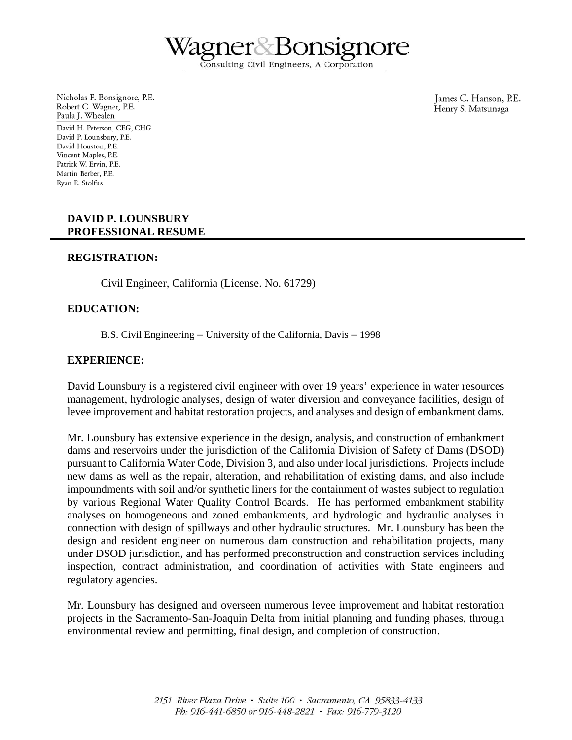igner Bor Consulting Civil Engineers, A Corporation

Nicholas F. Bonsignore, P.E. Robert C. Wagner, P.E. Paula J. Whealen David H. Peterson, CEG, CHG David P. Lounsbury, P.E. David Houston, P.E. Vincent Maples, P.E. Patrick W. Ervin, P.E. Martin Berber, P.E. Rvan E. Stolfus

James C. Hanson, P.E. Henry S. Matsunaga

# **DAVID P. LOUNSBURY PROFESSIONAL RESUME**

# **REGISTRATION:**

Civil Engineer, California (License. No. 61729)

# **EDUCATION:**

B.S. Civil Engineering — University of the California, Davis — 1998

### **EXPERIENCE:**

David Lounsbury is a registered civil engineer with over 19 years' experience in water resources management, hydrologic analyses, design of water diversion and conveyance facilities, design of levee improvement and habitat restoration projects, and analyses and design of embankment dams.

Mr. Lounsbury has extensive experience in the design, analysis, and construction of embankment dams and reservoirs under the jurisdiction of the California Division of Safety of Dams (DSOD) pursuant to California Water Code, Division 3, and also under local jurisdictions. Projects include new dams as well as the repair, alteration, and rehabilitation of existing dams, and also include impoundments with soil and/or synthetic liners for the containment of wastes subject to regulation by various Regional Water Quality Control Boards. He has performed embankment stability analyses on homogeneous and zoned embankments, and hydrologic and hydraulic analyses in connection with design of spillways and other hydraulic structures. Mr. Lounsbury has been the design and resident engineer on numerous dam construction and rehabilitation projects, many under DSOD jurisdiction, and has performed preconstruction and construction services including inspection, contract administration, and coordination of activities with State engineers and regulatory agencies.

Mr. Lounsbury has designed and overseen numerous levee improvement and habitat restoration projects in the Sacramento-San-Joaquin Delta from initial planning and funding phases, through environmental review and permitting, final design, and completion of construction.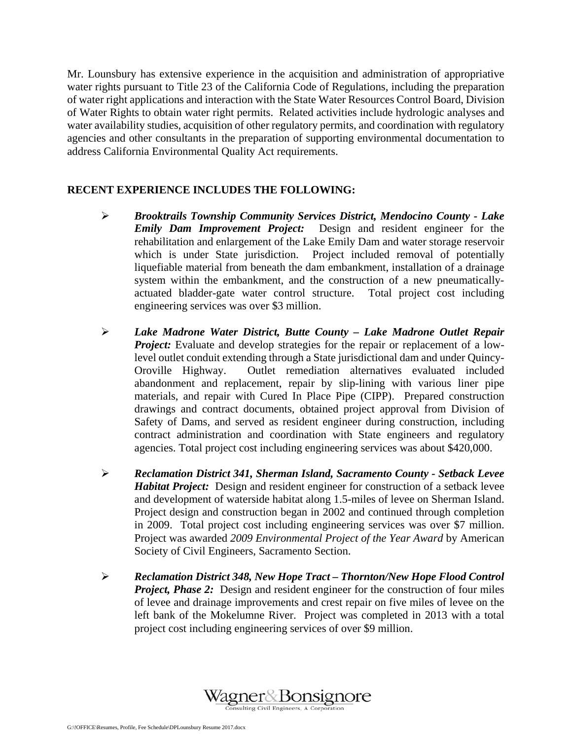Mr. Lounsbury has extensive experience in the acquisition and administration of appropriative water rights pursuant to Title 23 of the California Code of Regulations, including the preparation of water right applications and interaction with the State Water Resources Control Board, Division of Water Rights to obtain water right permits. Related activities include hydrologic analyses and water availability studies, acquisition of other regulatory permits, and coordination with regulatory agencies and other consultants in the preparation of supporting environmental documentation to address California Environmental Quality Act requirements.

# **RECENT EXPERIENCE INCLUDES THE FOLLOWING:**

- ¾ *Brooktrails Township Community Services District, Mendocino County Lake Emily Dam Improvement Project:* Design and resident engineer for the rehabilitation and enlargement of the Lake Emily Dam and water storage reservoir which is under State jurisdiction. Project included removal of potentially liquefiable material from beneath the dam embankment, installation of a drainage system within the embankment, and the construction of a new pneumaticallyactuated bladder-gate water control structure. Total project cost including engineering services was over \$3 million.
- ¾ *Lake Madrone Water District, Butte County Lake Madrone Outlet Repair Project:* Evaluate and develop strategies for the repair or replacement of a lowlevel outlet conduit extending through a State jurisdictional dam and under Quincy-Oroville Highway. Outlet remediation alternatives evaluated included abandonment and replacement, repair by slip-lining with various liner pipe materials, and repair with Cured In Place Pipe (CIPP). Prepared construction drawings and contract documents, obtained project approval from Division of Safety of Dams, and served as resident engineer during construction, including contract administration and coordination with State engineers and regulatory agencies. Total project cost including engineering services was about \$420,000.
- ¾ *Reclamation District 341, Sherman Island, Sacramento County Setback Levee Habitat Project:* Design and resident engineer for construction of a setback levee and development of waterside habitat along 1.5-miles of levee on Sherman Island. Project design and construction began in 2002 and continued through completion in 2009. Total project cost including engineering services was over \$7 million. Project was awarded *2009 Environmental Project of the Year Award* by American Society of Civil Engineers, Sacramento Section.
- ¾ *Reclamation District 348, New Hope Tract Thornton/New Hope Flood Control Project, Phase 2:* Design and resident engineer for the construction of four miles of levee and drainage improvements and crest repair on five miles of levee on the left bank of the Mokelumne River. Project was completed in 2013 with a total project cost including engineering services of over \$9 million.